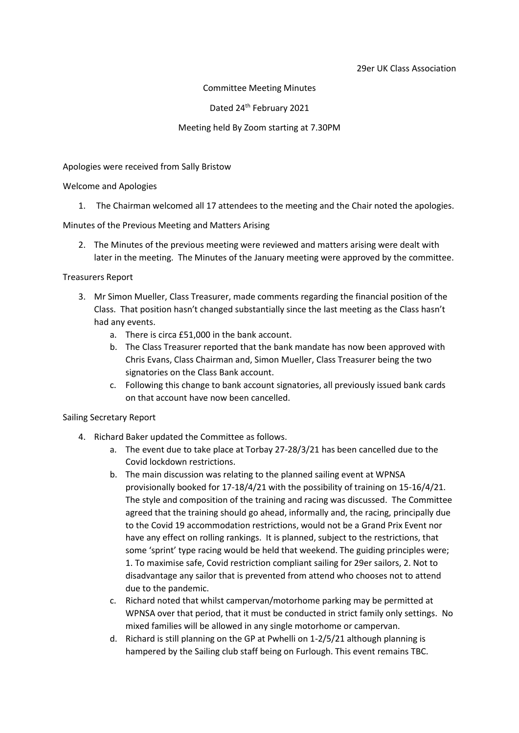#### 29er UK Class Association

Committee Meeting Minutes

Dated 24<sup>th</sup> February 2021

#### Meeting held By Zoom starting at 7.30PM

Apologies were received from Sally Bristow

Welcome and Apologies

1. The Chairman welcomed all 17 attendees to the meeting and the Chair noted the apologies.

Minutes of the Previous Meeting and Matters Arising

2. The Minutes of the previous meeting were reviewed and matters arising were dealt with later in the meeting. The Minutes of the January meeting were approved by the committee.

Treasurers Report

- 3. Mr Simon Mueller, Class Treasurer, made comments regarding the financial position of the Class. That position hasn't changed substantially since the last meeting as the Class hasn't had any events.
	- a. There is circa £51,000 in the bank account.
	- b. The Class Treasurer reported that the bank mandate has now been approved with Chris Evans, Class Chairman and, Simon Mueller, Class Treasurer being the two signatories on the Class Bank account.
	- c. Following this change to bank account signatories, all previously issued bank cards on that account have now been cancelled.

Sailing Secretary Report

- 4. Richard Baker updated the Committee as follows.
	- a. The event due to take place at Torbay 27-28/3/21 has been cancelled due to the Covid lockdown restrictions.
	- b. The main discussion was relating to the planned sailing event at WPNSA provisionally booked for 17-18/4/21 with the possibility of training on 15-16/4/21. The style and composition of the training and racing was discussed. The Committee agreed that the training should go ahead, informally and, the racing, principally due to the Covid 19 accommodation restrictions, would not be a Grand Prix Event nor have any effect on rolling rankings. It is planned, subject to the restrictions, that some 'sprint' type racing would be held that weekend. The guiding principles were; 1. To maximise safe, Covid restriction compliant sailing for 29er sailors, 2. Not to disadvantage any sailor that is prevented from attend who chooses not to attend due to the pandemic.
	- c. Richard noted that whilst campervan/motorhome parking may be permitted at WPNSA over that period, that it must be conducted in strict family only settings. No mixed families will be allowed in any single motorhome or campervan.
	- d. Richard is still planning on the GP at Pwhelli on 1-2/5/21 although planning is hampered by the Sailing club staff being on Furlough. This event remains TBC.